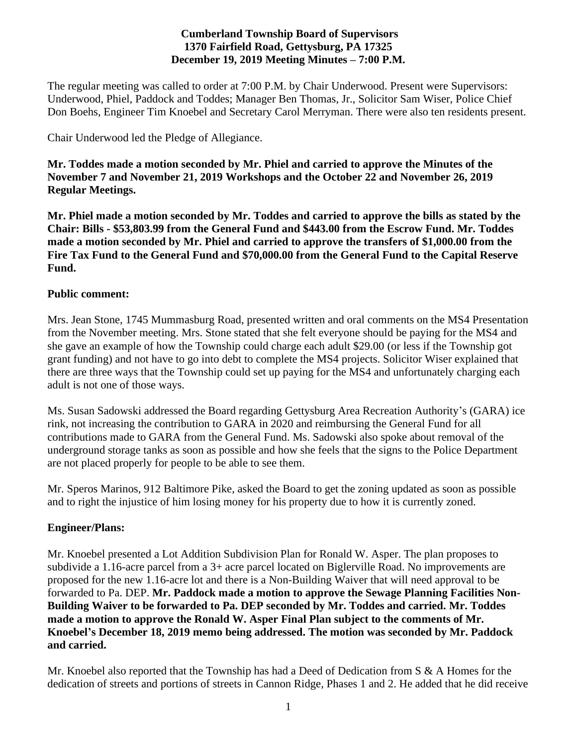### **Cumberland Township Board of Supervisors 1370 Fairfield Road, Gettysburg, PA 17325 December 19, 2019 Meeting Minutes – 7:00 P.M.**

The regular meeting was called to order at 7:00 P.M. by Chair Underwood. Present were Supervisors: Underwood, Phiel, Paddock and Toddes; Manager Ben Thomas, Jr., Solicitor Sam Wiser, Police Chief Don Boehs, Engineer Tim Knoebel and Secretary Carol Merryman. There were also ten residents present.

Chair Underwood led the Pledge of Allegiance.

**Mr. Toddes made a motion seconded by Mr. Phiel and carried to approve the Minutes of the November 7 and November 21, 2019 Workshops and the October 22 and November 26, 2019 Regular Meetings.**

**Mr. Phiel made a motion seconded by Mr. Toddes and carried to approve the bills as stated by the Chair: Bills - \$53,803.99 from the General Fund and \$443.00 from the Escrow Fund. Mr. Toddes made a motion seconded by Mr. Phiel and carried to approve the transfers of \$1,000.00 from the Fire Tax Fund to the General Fund and \$70,000.00 from the General Fund to the Capital Reserve Fund.** 

### **Public comment:**

Mrs. Jean Stone, 1745 Mummasburg Road, presented written and oral comments on the MS4 Presentation from the November meeting. Mrs. Stone stated that she felt everyone should be paying for the MS4 and she gave an example of how the Township could charge each adult \$29.00 (or less if the Township got grant funding) and not have to go into debt to complete the MS4 projects. Solicitor Wiser explained that there are three ways that the Township could set up paying for the MS4 and unfortunately charging each adult is not one of those ways.

Ms. Susan Sadowski addressed the Board regarding Gettysburg Area Recreation Authority's (GARA) ice rink, not increasing the contribution to GARA in 2020 and reimbursing the General Fund for all contributions made to GARA from the General Fund. Ms. Sadowski also spoke about removal of the underground storage tanks as soon as possible and how she feels that the signs to the Police Department are not placed properly for people to be able to see them.

Mr. Speros Marinos, 912 Baltimore Pike, asked the Board to get the zoning updated as soon as possible and to right the injustice of him losing money for his property due to how it is currently zoned.

# **Engineer/Plans:**

Mr. Knoebel presented a Lot Addition Subdivision Plan for Ronald W. Asper. The plan proposes to subdivide a 1.16-acre parcel from a 3+ acre parcel located on Biglerville Road. No improvements are proposed for the new 1.16-acre lot and there is a Non-Building Waiver that will need approval to be forwarded to Pa. DEP. **Mr. Paddock made a motion to approve the Sewage Planning Facilities Non-Building Waiver to be forwarded to Pa. DEP seconded by Mr. Toddes and carried. Mr. Toddes made a motion to approve the Ronald W. Asper Final Plan subject to the comments of Mr. Knoebel's December 18, 2019 memo being addressed. The motion was seconded by Mr. Paddock and carried.** 

Mr. Knoebel also reported that the Township has had a Deed of Dedication from S & A Homes for the dedication of streets and portions of streets in Cannon Ridge, Phases 1 and 2. He added that he did receive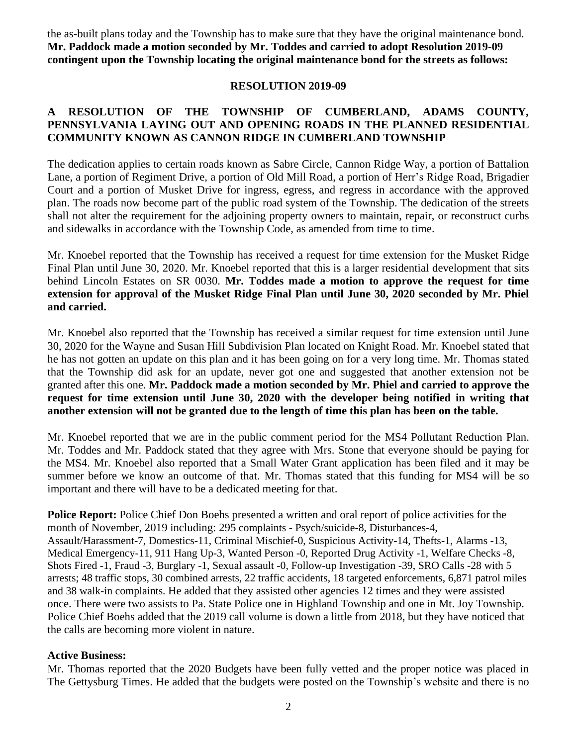the as-built plans today and the Township has to make sure that they have the original maintenance bond. **Mr. Paddock made a motion seconded by Mr. Toddes and carried to adopt Resolution 2019-09 contingent upon the Township locating the original maintenance bond for the streets as follows:**

#### **RESOLUTION 2019-09**

#### **A RESOLUTION OF THE TOWNSHIP OF CUMBERLAND, ADAMS COUNTY, PENNSYLVANIA LAYING OUT AND OPENING ROADS IN THE PLANNED RESIDENTIAL COMMUNITY KNOWN AS CANNON RIDGE IN CUMBERLAND TOWNSHIP**

The dedication applies to certain roads known as Sabre Circle, Cannon Ridge Way, a portion of Battalion Lane, a portion of Regiment Drive, a portion of Old Mill Road, a portion of Herr's Ridge Road, Brigadier Court and a portion of Musket Drive for ingress, egress, and regress in accordance with the approved plan. The roads now become part of the public road system of the Township. The dedication of the streets shall not alter the requirement for the adjoining property owners to maintain, repair, or reconstruct curbs and sidewalks in accordance with the Township Code, as amended from time to time.

Mr. Knoebel reported that the Township has received a request for time extension for the Musket Ridge Final Plan until June 30, 2020. Mr. Knoebel reported that this is a larger residential development that sits behind Lincoln Estates on SR 0030. **Mr. Toddes made a motion to approve the request for time extension for approval of the Musket Ridge Final Plan until June 30, 2020 seconded by Mr. Phiel and carried.**

Mr. Knoebel also reported that the Township has received a similar request for time extension until June 30, 2020 for the Wayne and Susan Hill Subdivision Plan located on Knight Road. Mr. Knoebel stated that he has not gotten an update on this plan and it has been going on for a very long time. Mr. Thomas stated that the Township did ask for an update, never got one and suggested that another extension not be granted after this one. **Mr. Paddock made a motion seconded by Mr. Phiel and carried to approve the request for time extension until June 30, 2020 with the developer being notified in writing that another extension will not be granted due to the length of time this plan has been on the table.** 

Mr. Knoebel reported that we are in the public comment period for the MS4 Pollutant Reduction Plan. Mr. Toddes and Mr. Paddock stated that they agree with Mrs. Stone that everyone should be paying for the MS4. Mr. Knoebel also reported that a Small Water Grant application has been filed and it may be summer before we know an outcome of that. Mr. Thomas stated that this funding for MS4 will be so important and there will have to be a dedicated meeting for that.

**Police Report:** Police Chief Don Boehs presented a written and oral report of police activities for the month of November, 2019 including: 295 complaints - Psych/suicide-8, Disturbances-4, Assault/Harassment-7, Domestics-11, Criminal Mischief-0, Suspicious Activity-14, Thefts-1, Alarms -13, Medical Emergency-11, 911 Hang Up-3, Wanted Person -0, Reported Drug Activity -1, Welfare Checks -8, Shots Fired -1, Fraud -3, Burglary -1, Sexual assault -0, Follow-up Investigation -39, SRO Calls -28 with 5 arrests; 48 traffic stops, 30 combined arrests, 22 traffic accidents, 18 targeted enforcements, 6,871 patrol miles and 38 walk-in complaints. He added that they assisted other agencies 12 times and they were assisted once. There were two assists to Pa. State Police one in Highland Township and one in Mt. Joy Township. Police Chief Boehs added that the 2019 call volume is down a little from 2018, but they have noticed that the calls are becoming more violent in nature.

#### **Active Business:**

Mr. Thomas reported that the 2020 Budgets have been fully vetted and the proper notice was placed in The Gettysburg Times. He added that the budgets were posted on the Township's website and there is no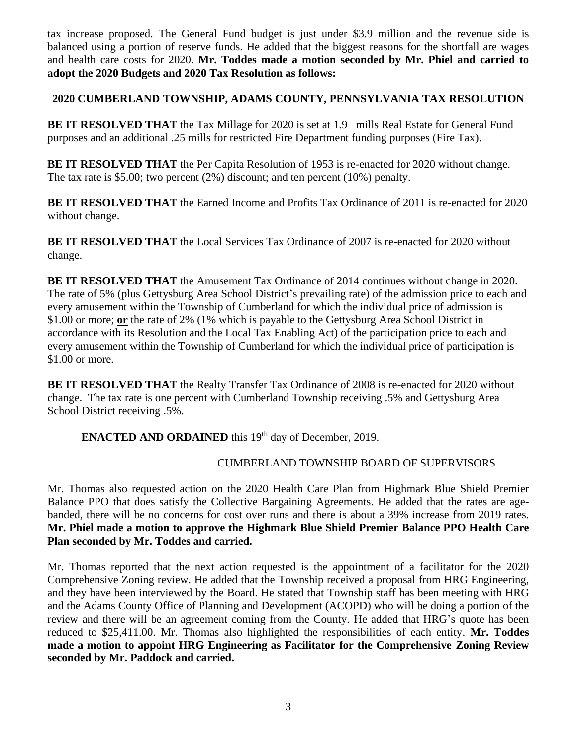tax increase proposed. The General Fund budget is just under \$3.9 million and the revenue side is balanced using a portion of reserve funds. He added that the biggest reasons for the shortfall are wages and health care costs for 2020. **Mr. Toddes made a motion seconded by Mr. Phiel and carried to adopt the 2020 Budgets and 2020 Tax Resolution as follows:**

### **2020 CUMBERLAND TOWNSHIP, ADAMS COUNTY, PENNSYLVANIA TAX RESOLUTION**

**BE IT RESOLVED THAT** the Tax Millage for 2020 is set at 1.9 mills Real Estate for General Fund purposes and an additional .25 mills for restricted Fire Department funding purposes (Fire Tax).

**BE IT RESOLVED THAT** the Per Capita Resolution of 1953 is re-enacted for 2020 without change. The tax rate is \$5.00; two percent (2%) discount; and ten percent (10%) penalty.

**BE IT RESOLVED THAT** the Earned Income and Profits Tax Ordinance of 2011 is re-enacted for 2020 without change.

**BE IT RESOLVED THAT** the Local Services Tax Ordinance of 2007 is re-enacted for 2020 without change.

**BE IT RESOLVED THAT** the Amusement Tax Ordinance of 2014 continues without change in 2020. The rate of 5% (plus Gettysburg Area School District's prevailing rate) of the admission price to each and every amusement within the Township of Cumberland for which the individual price of admission is \$1.00 or more; **or** the rate of 2% (1% which is payable to the Gettysburg Area School District in accordance with its Resolution and the Local Tax Enabling Act) of the participation price to each and every amusement within the Township of Cumberland for which the individual price of participation is \$1.00 or more.

**BE IT RESOLVED THAT** the Realty Transfer Tax Ordinance of 2008 is re-enacted for 2020 without change. The tax rate is one percent with Cumberland Township receiving .5% and Gettysburg Area School District receiving .5%.

**ENACTED AND ORDAINED** this 19<sup>th</sup> day of December, 2019.

### CUMBERLAND TOWNSHIP BOARD OF SUPERVISORS

Mr. Thomas also requested action on the 2020 Health Care Plan from Highmark Blue Shield Premier Balance PPO that does satisfy the Collective Bargaining Agreements. He added that the rates are agebanded, there will be no concerns for cost over runs and there is about a 39% increase from 2019 rates. **Mr. Phiel made a motion to approve the Highmark Blue Shield Premier Balance PPO Health Care Plan seconded by Mr. Toddes and carried.**

Mr. Thomas reported that the next action requested is the appointment of a facilitator for the 2020 Comprehensive Zoning review. He added that the Township received a proposal from HRG Engineering, and they have been interviewed by the Board. He stated that Township staff has been meeting with HRG and the Adams County Office of Planning and Development (ACOPD) who will be doing a portion of the review and there will be an agreement coming from the County. He added that HRG's quote has been reduced to \$25,411.00. Mr. Thomas also highlighted the responsibilities of each entity. **Mr. Toddes made a motion to appoint HRG Engineering as Facilitator for the Comprehensive Zoning Review seconded by Mr. Paddock and carried.**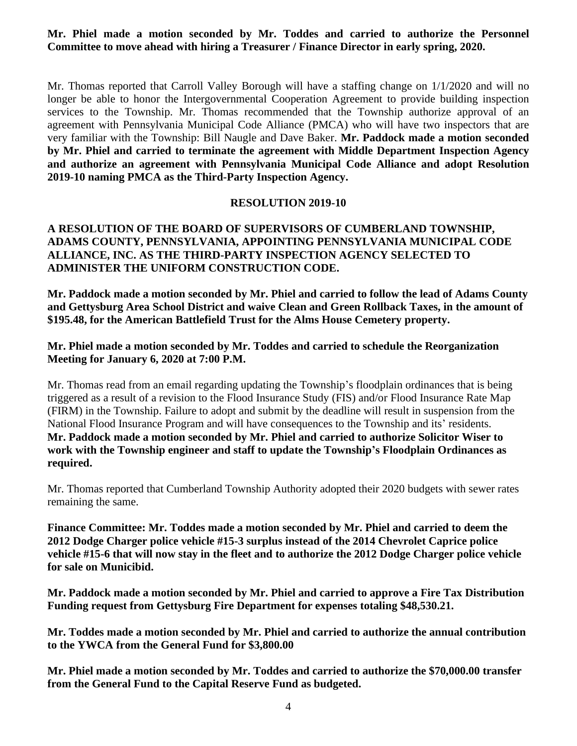### **Mr. Phiel made a motion seconded by Mr. Toddes and carried to authorize the Personnel Committee to move ahead with hiring a Treasurer / Finance Director in early spring, 2020.**

Mr. Thomas reported that Carroll Valley Borough will have a staffing change on 1/1/2020 and will no longer be able to honor the Intergovernmental Cooperation Agreement to provide building inspection services to the Township. Mr. Thomas recommended that the Township authorize approval of an agreement with Pennsylvania Municipal Code Alliance (PMCA) who will have two inspectors that are very familiar with the Township: Bill Naugle and Dave Baker. **Mr. Paddock made a motion seconded by Mr. Phiel and carried to terminate the agreement with Middle Department Inspection Agency and authorize an agreement with Pennsylvania Municipal Code Alliance and adopt Resolution 2019-10 naming PMCA as the Third-Party Inspection Agency.**

#### **RESOLUTION 2019-10**

### **A RESOLUTION OF THE BOARD OF SUPERVISORS OF CUMBERLAND TOWNSHIP, ADAMS COUNTY, PENNSYLVANIA, APPOINTING PENNSYLVANIA MUNICIPAL CODE ALLIANCE, INC. AS THE THIRD-PARTY INSPECTION AGENCY SELECTED TO ADMINISTER THE UNIFORM CONSTRUCTION CODE.**

**Mr. Paddock made a motion seconded by Mr. Phiel and carried to follow the lead of Adams County and Gettysburg Area School District and waive Clean and Green Rollback Taxes, in the amount of \$195.48, for the American Battlefield Trust for the Alms House Cemetery property.**

#### **Mr. Phiel made a motion seconded by Mr. Toddes and carried to schedule the Reorganization Meeting for January 6, 2020 at 7:00 P.M.**

Mr. Thomas read from an email regarding updating the Township's floodplain ordinances that is being triggered as a result of a revision to the Flood Insurance Study (FIS) and/or Flood Insurance Rate Map (FIRM) in the Township. Failure to adopt and submit by the deadline will result in suspension from the National Flood Insurance Program and will have consequences to the Township and its' residents. **Mr. Paddock made a motion seconded by Mr. Phiel and carried to authorize Solicitor Wiser to work with the Township engineer and staff to update the Township's Floodplain Ordinances as required.**

Mr. Thomas reported that Cumberland Township Authority adopted their 2020 budgets with sewer rates remaining the same.

**Finance Committee: Mr. Toddes made a motion seconded by Mr. Phiel and carried to deem the 2012 Dodge Charger police vehicle #15-3 surplus instead of the 2014 Chevrolet Caprice police vehicle #15-6 that will now stay in the fleet and to authorize the 2012 Dodge Charger police vehicle for sale on Municibid.**

**Mr. Paddock made a motion seconded by Mr. Phiel and carried to approve a Fire Tax Distribution Funding request from Gettysburg Fire Department for expenses totaling \$48,530.21.**

**Mr. Toddes made a motion seconded by Mr. Phiel and carried to authorize the annual contribution to the YWCA from the General Fund for \$3,800.00**

**Mr. Phiel made a motion seconded by Mr. Toddes and carried to authorize the \$70,000.00 transfer from the General Fund to the Capital Reserve Fund as budgeted.**